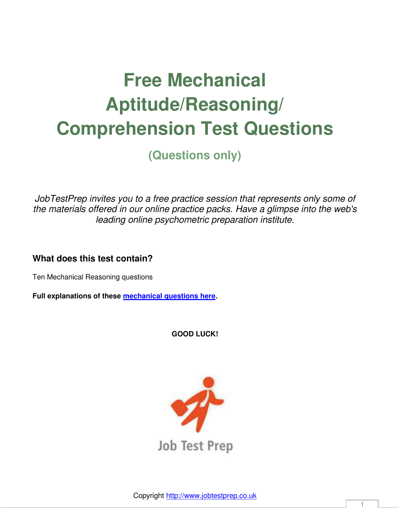# **Free Mechanical Aptitude/Reasoning/ Comprehension Test Questions**

**(Questions only)** 

*JobTestPrep invites you to a free practice session that represents only some of the materials offered in our online practice packs. Have a glimpse into the web's leading online psychometric preparation institute.*

**What does this test contain?** 

Ten Mechanical Reasoning questions

**Full explanations of these [mechanical questions here.](http://www.jobtestprep.co.uk/images/free-pdf/free-mechanical-aptitude-questions-answers.pdf)** 

**GOOD LUCK!** 

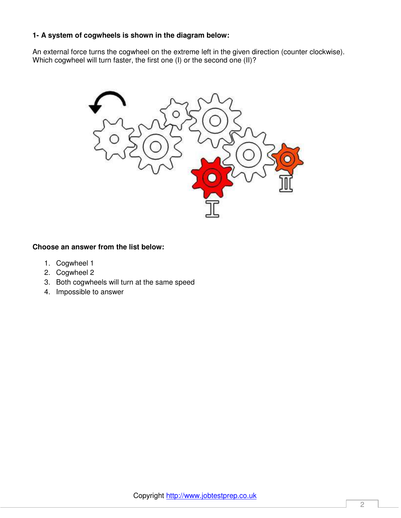# **1- A system of cogwheels is shown in the diagram below:**

An external force turns the cogwheel on the extreme left in the given direction (counter clockwise). Which cogwheel will turn faster, the first one (I) or the second one (II)?



- 1. Cogwheel 1
- 2. Cogwheel 2
- 3. Both cogwheels will turn at the same speed
- 4. Impossible to answer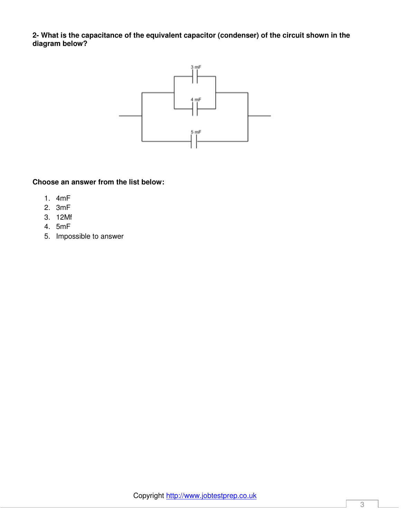**2- What is the capacitance of the equivalent capacitor (condenser) of the circuit shown in the diagram below?** 



- 1. 4mF
- 2. 3mF
- 3. 12Mf
- 4. 5mF
- 5. Impossible to answer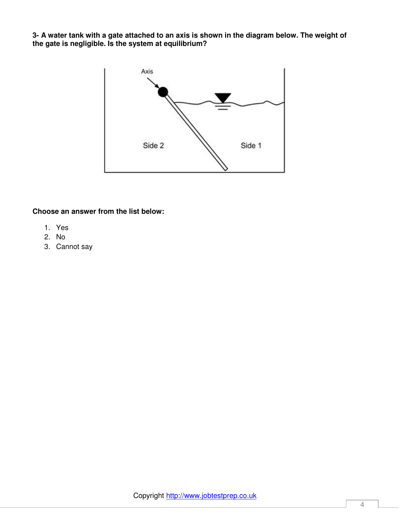**3- A water tank with a gate attached to an axis is shown in the diagram below. The weight of the gate is negligible. Is the system at equilibrium?** 



- 1. Yes
- 2. No
- 3. Cannot say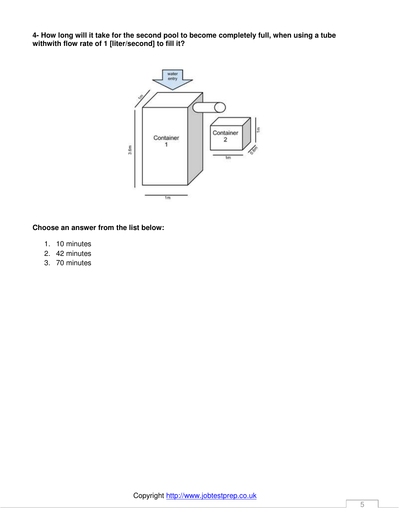**4- How long will it take for the second pool to become completely full, when using a tube withwith flow rate of 1 [liter/second] to fill it?** 



- 1. 10 minutes
- 2. 42 minutes
- 3. 70 minutes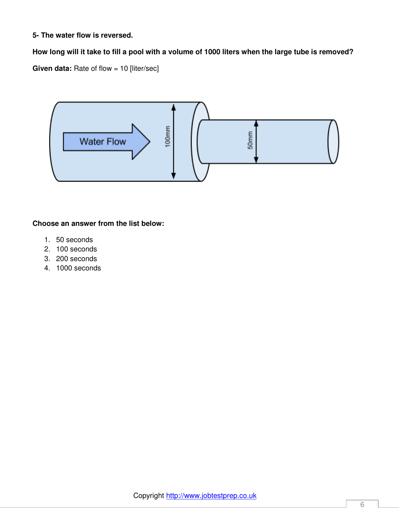## **5- The water flow is reversed.**

# **How long will it take to fill a pool with a volume of 1000 liters when the large tube is removed?**

**Given data:** Rate of flow = 10 [liter/sec]



- 1. 50 seconds
- 2. 100 seconds
- 3. 200 seconds
- 4. 1000 seconds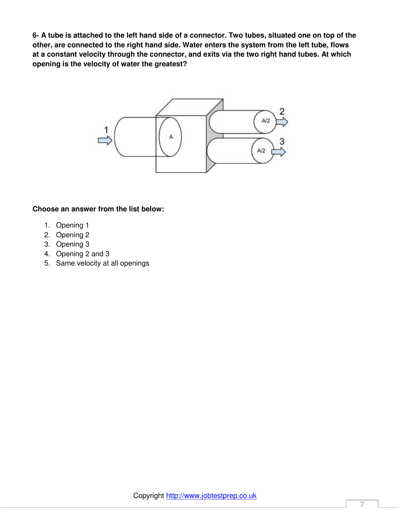**6- A tube is attached to the left hand side of a connector. Two tubes, situated one on top of the other, are connected to the right hand side. Water enters the system from the left tube, flows at a constant velocity through the connector, and exits via the two right hand tubes. At which opening is the velocity of water the greatest?** 



- 1. Opening 1
- 2. Opening 2
- 3. Opening 3
- 4. Opening 2 and 3
- 5. Same velocity at all openings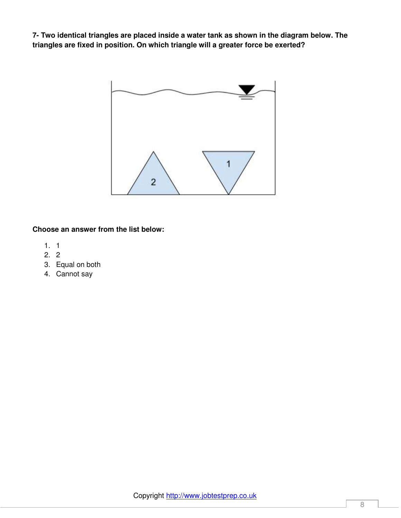**7- Two identical triangles are placed inside a water tank as shown in the diagram below. The triangles are fixed in position. On which triangle will a greater force be exerted?** 



- 1. 1
- 2. 2
- 3. Equal on both
- 4. Cannot say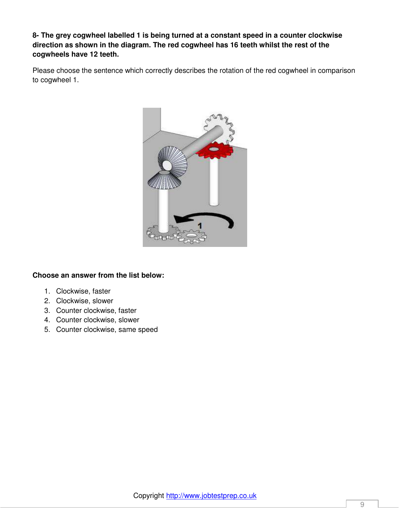**8- The grey cogwheel labelled 1 is being turned at a constant speed in a counter clockwise direction as shown in the diagram. The red cogwheel has 16 teeth whilst the rest of the cogwheels have 12 teeth.** 

Please choose the sentence which correctly describes the rotation of the red cogwheel in comparison to cogwheel 1.



- 1. Clockwise, faster
- 2. Clockwise, slower
- 3. Counter clockwise, faster
- 4. Counter clockwise, slower
- 5. Counter clockwise, same speed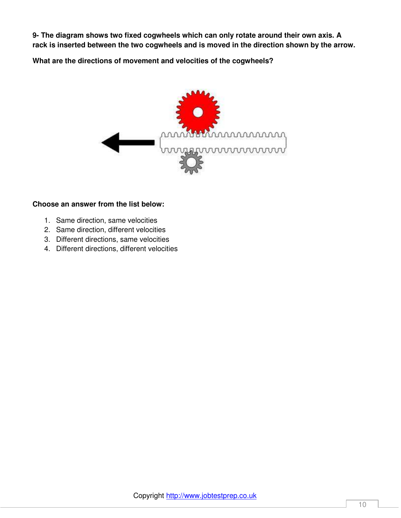**9- The diagram shows two fixed cogwheels which can only rotate around their own axis. A rack is inserted between the two cogwheels and is moved in the direction shown by the arrow.** 

**What are the directions of movement and velocities of the cogwheels?** 



- 1. Same direction, same velocities
- 2. Same direction, different velocities
- 3. Different directions, same velocities
- 4. Different directions, different velocities